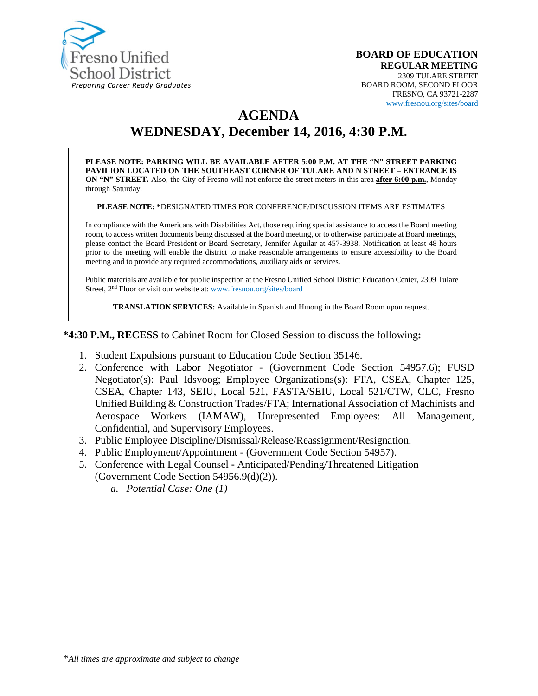

#### **BOARD OF EDUCATION REGULAR MEETING** 2309 TULARE STREET BOARD ROOM, SECOND FLOOR FRESNO, CA 93721-2287 www.fresnou.org/sites/board

## **AGENDA**

# **WEDNESDAY, December 14, 2016, 4:30 P.M.**

**PLEASE NOTE: PARKING WILL BE AVAILABLE AFTER 5:00 P.M. AT THE "N" STREET PARKING PAVILION LOCATED ON THE SOUTHEAST CORNER OF TULARE AND N STREET – ENTRANCE IS ON "N" STREET.** Also, the City of Fresno will not enforce the street meters in this area **after 6:00 p.m.**, Monday through Saturday.

**PLEASE NOTE: \***DESIGNATED TIMES FOR CONFERENCE/DISCUSSION ITEMS ARE ESTIMATES

In compliance with the Americans with Disabilities Act, those requiring special assistance to access the Board meeting room, to access written documents being discussed at the Board meeting, or to otherwise participate at Board meetings, please contact the Board President or Board Secretary, Jennifer Aguilar at 457-3938. Notification at least 48 hours prior to the meeting will enable the district to make reasonable arrangements to ensure accessibility to the Board meeting and to provide any required accommodations, auxiliary aids or services.

Public materials are available for public inspection at the Fresno Unified School District Education Center, 2309 Tulare Street, 2nd Floor or visit our website at: www.fresnou.org/sites/board

**TRANSLATION SERVICES:** Available in Spanish and Hmong in the Board Room upon request.

**\*4:30 P.M., RECESS** to Cabinet Room for Closed Session to discuss the following**:**

- 1. Student Expulsions pursuant to Education Code Section 35146.
- 2. Conference with Labor Negotiator (Government Code Section 54957.6); FUSD Negotiator(s): Paul Idsvoog; Employee Organizations(s): FTA, CSEA, Chapter 125, CSEA, Chapter 143, SEIU, Local 521, FASTA/SEIU, Local 521/CTW, CLC, Fresno Unified Building & Construction Trades/FTA; International Association of Machinists and Aerospace Workers (IAMAW), Unrepresented Employees: All Management, Confidential, and Supervisory Employees.
- 3. Public Employee Discipline/Dismissal/Release/Reassignment/Resignation.
- 4. Public Employment/Appointment (Government Code Section 54957).
- 5. Conference with Legal Counsel **-** Anticipated/Pending/Threatened Litigation (Government Code Section 54956.9(d)(2)).
	- *a. Potential Case: One (1)*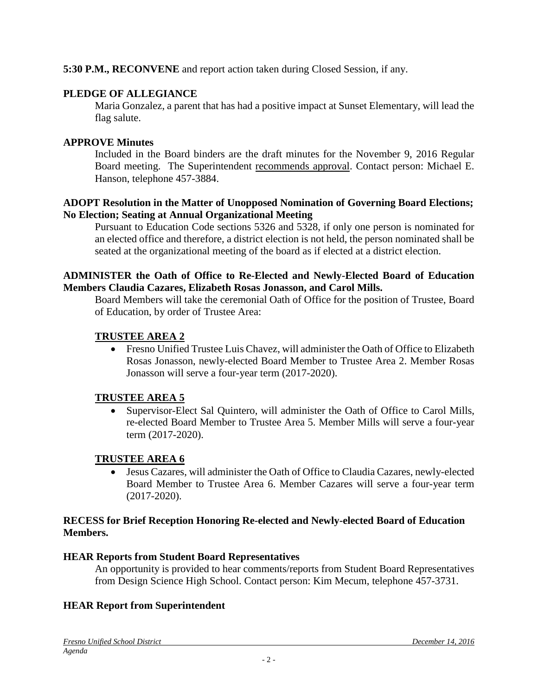### **5:30 P.M., RECONVENE** and report action taken during Closed Session, if any.

### **PLEDGE OF ALLEGIANCE**

Maria Gonzalez, a parent that has had a positive impact at Sunset Elementary, will lead the flag salute.

#### **APPROVE Minutes**

Included in the Board binders are the draft minutes for the November 9, 2016 Regular Board meeting. The Superintendent recommends approval. Contact person: Michael E. Hanson, telephone 457-3884.

#### **ADOPT Resolution in the Matter of Unopposed Nomination of Governing Board Elections; No Election; Seating at Annual Organizational Meeting**

Pursuant to Education Code sections 5326 and 5328, if only one person is nominated for an elected office and therefore, a district election is not held, the person nominated shall be seated at the organizational meeting of the board as if elected at a district election.

#### **ADMINISTER the Oath of Office to Re-Elected and Newly-Elected Board of Education Members Claudia Cazares, Elizabeth Rosas Jonasson, and Carol Mills.**

Board Members will take the ceremonial Oath of Office for the position of Trustee, Board of Education, by order of Trustee Area:

### **TRUSTEE AREA 2**

• Fresno Unified Trustee Luis Chavez, will administer the Oath of Office to Elizabeth Rosas Jonasson, newly-elected Board Member to Trustee Area 2. Member Rosas Jonasson will serve a four-year term (2017-2020).

### **TRUSTEE AREA 5**

• Supervisor-Elect Sal Quintero, will administer the Oath of Office to Carol Mills, re-elected Board Member to Trustee Area 5. Member Mills will serve a four-year term (2017-2020).

### **TRUSTEE AREA 6**

• Jesus Cazares, will administer the Oath of Office to Claudia Cazares, newly-elected Board Member to Trustee Area 6. Member Cazares will serve a four-year term (2017-2020).

#### **RECESS for Brief Reception Honoring Re-elected and Newly-elected Board of Education Members.**

#### **HEAR Reports from Student Board Representatives**

An opportunity is provided to hear comments/reports from Student Board Representatives from Design Science High School. Contact person: Kim Mecum, telephone 457-3731.

### **HEAR Report from Superintendent**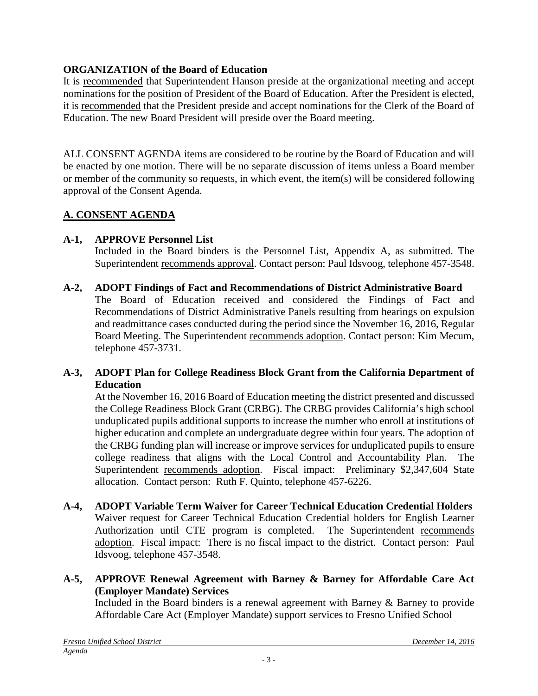### **ORGANIZATION of the Board of Education**

It is recommended that Superintendent Hanson preside at the organizational meeting and accept nominations for the position of President of the Board of Education. After the President is elected, it is recommended that the President preside and accept nominations for the Clerk of the Board of Education. The new Board President will preside over the Board meeting.

ALL CONSENT AGENDA items are considered to be routine by the Board of Education and will be enacted by one motion. There will be no separate discussion of items unless a Board member or member of the community so requests, in which event, the item(s) will be considered following approval of the Consent Agenda.

### **A. CONSENT AGENDA**

### **A-1, APPROVE Personnel List**

Included in the Board binders is the Personnel List, Appendix A, as submitted. The Superintendent recommends approval. Contact person: Paul Idsvoog, telephone 457-3548.

**A-2, ADOPT Findings of Fact and Recommendations of District Administrative Board**

The Board of Education received and considered the Findings of Fact and Recommendations of District Administrative Panels resulting from hearings on expulsion and readmittance cases conducted during the period since the November 16, 2016, Regular Board Meeting. The Superintendent recommends adoption. Contact person: Kim Mecum, telephone 457-3731.

### **A-3, ADOPT Plan for College Readiness Block Grant from the California Department of Education**

At the November 16, 2016 Board of Education meeting the district presented and discussed the College Readiness Block Grant (CRBG). The CRBG provides California's high school unduplicated pupils additional supports to increase the number who enroll at institutions of higher education and complete an undergraduate degree within four years. The adoption of the CRBG funding plan will increase or improve services for unduplicated pupils to ensure college readiness that aligns with the Local Control and Accountability Plan. The Superintendent recommends adoption. Fiscal impact: Preliminary \$2,347,604 State allocation. Contact person: Ruth F. Quinto, telephone 457-6226.

- **A-4, ADOPT Variable Term Waiver for Career Technical Education Credential Holders** Waiver request for Career Technical Education Credential holders for English Learner Authorization until CTE program is completed. The Superintendent recommends adoption. Fiscal impact: There is no fiscal impact to the district. Contact person: Paul Idsvoog, telephone 457-3548.
- **A-5, APPROVE Renewal Agreement with Barney & Barney for Affordable Care Act (Employer Mandate) Services**

Included in the Board binders is a renewal agreement with Barney & Barney to provide Affordable Care Act (Employer Mandate) support services to Fresno Unified School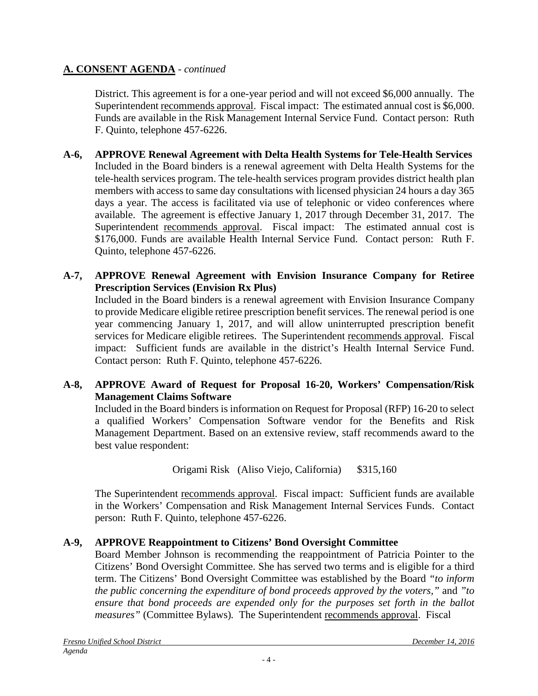### **A. CONSENT AGENDA** *- continued*

District. This agreement is for a one-year period and will not exceed \$6,000 annually. The Superintendent recommends approval. Fiscal impact: The estimated annual cost is \$6,000. Funds are available in the Risk Management Internal Service Fund. Contact person: Ruth F. Quinto, telephone 457-6226.

- **A-6, APPROVE Renewal Agreement with Delta Health Systems for Tele-Health Services** Included in the Board binders is a renewal agreement with Delta Health Systems for the tele-health services program. The tele-health services program provides district health plan members with access to same day consultations with licensed physician 24 hours a day 365 days a year. The access is facilitated via use of telephonic or video conferences where available. The agreement is effective January 1, 2017 through December 31, 2017. The Superintendent recommends approval. Fiscal impact: The estimated annual cost is \$176,000. Funds are available Health Internal Service Fund. Contact person: Ruth F. Quinto, telephone 457-6226.
- **A-7, APPROVE Renewal Agreement with Envision Insurance Company for Retiree Prescription Services (Envision Rx Plus)**

Included in the Board binders is a renewal agreement with Envision Insurance Company to provide Medicare eligible retiree prescription benefit services. The renewal period is one year commencing January 1, 2017, and will allow uninterrupted prescription benefit services for Medicare eligible retirees. The Superintendent recommends approval. Fiscal impact: Sufficient funds are available in the district's Health Internal Service Fund. Contact person: Ruth F. Quinto, telephone 457-6226.

### **A-8, APPROVE Award of Request for Proposal 16-20, Workers' Compensation/Risk Management Claims Software**

Included in the Board binders is information on Request for Proposal (RFP) 16-20 to select a qualified Workers' Compensation Software vendor for the Benefits and Risk Management Department. Based on an extensive review, staff recommends award to the best value respondent:

Origami Risk (Aliso Viejo, California) \$315,160

The Superintendent recommends approval. Fiscal impact: Sufficient funds are available in the Workers' Compensation and Risk Management Internal Services Funds. Contact person: Ruth F. Quinto, telephone 457-6226.

### **A-9, APPROVE Reappointment to Citizens' Bond Oversight Committee**

Board Member Johnson is recommending the reappointment of Patricia Pointer to the Citizens' Bond Oversight Committee. She has served two terms and is eligible for a third term. The Citizens' Bond Oversight Committee was established by the Board *"to inform the public concerning the expenditure of bond proceeds approved by the voters,"* and *"to ensure that bond proceeds are expended only for the purposes set forth in the ballot measures"* (Committee Bylaws)*.* The Superintendent recommends approval. Fiscal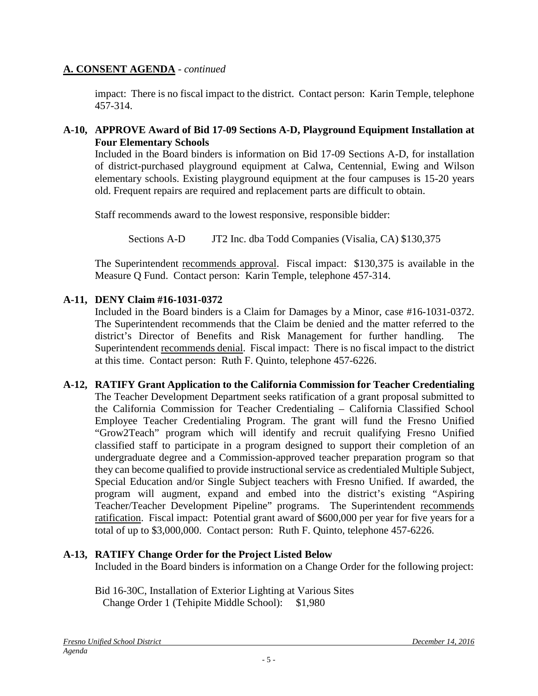#### **A. CONSENT AGENDA** *- continued*

impact: There is no fiscal impact to the district. Contact person: Karin Temple, telephone 457-314.

### **A-10, APPROVE Award of Bid 17-09 Sections A-D, Playground Equipment Installation at Four Elementary Schools**

Included in the Board binders is information on Bid 17-09 Sections A-D, for installation of district-purchased playground equipment at Calwa, Centennial, Ewing and Wilson elementary schools. Existing playground equipment at the four campuses is 15-20 years old. Frequent repairs are required and replacement parts are difficult to obtain.

Staff recommends award to the lowest responsive, responsible bidder:

Sections A-D JT2 Inc. dba Todd Companies (Visalia, CA) \$130,375

The Superintendent recommends approval. Fiscal impact: \$130,375 is available in the Measure Q Fund. Contact person: Karin Temple, telephone 457-314.

### **A-11, DENY Claim #16-1031-0372**

Included in the Board binders is a Claim for Damages by a Minor, case #16-1031-0372. The Superintendent recommends that the Claim be denied and the matter referred to the district's Director of Benefits and Risk Management for further handling. The Superintendent recommends denial. Fiscal impact: There is no fiscal impact to the district at this time. Contact person: Ruth F. Quinto, telephone 457-6226.

#### **A-12, RATIFY Grant Application to the California Commission for Teacher Credentialing** The Teacher Development Department seeks ratification of a grant proposal submitted to the California Commission for Teacher Credentialing – California Classified School Employee Teacher Credentialing Program. The grant will fund the Fresno Unified "Grow2Teach" program which will identify and recruit qualifying Fresno Unified classified staff to participate in a program designed to support their completion of an undergraduate degree and a Commission-approved teacher preparation program so that they can become qualified to provide instructional service as credentialed Multiple Subject, Special Education and/or Single Subject teachers with Fresno Unified. If awarded, the program will augment, expand and embed into the district's existing "Aspiring Teacher/Teacher Development Pipeline" programs. The Superintendent recommends ratification. Fiscal impact: Potential grant award of \$600,000 per year for five years for a total of up to \$3,000,000. Contact person: Ruth F. Quinto, telephone 457-6226.

### **A-13, RATIFY Change Order for the Project Listed Below**

Included in the Board binders is information on a Change Order for the following project:

Bid 16-30C, Installation of Exterior Lighting at Various Sites Change Order 1 (Tehipite Middle School): \$1,980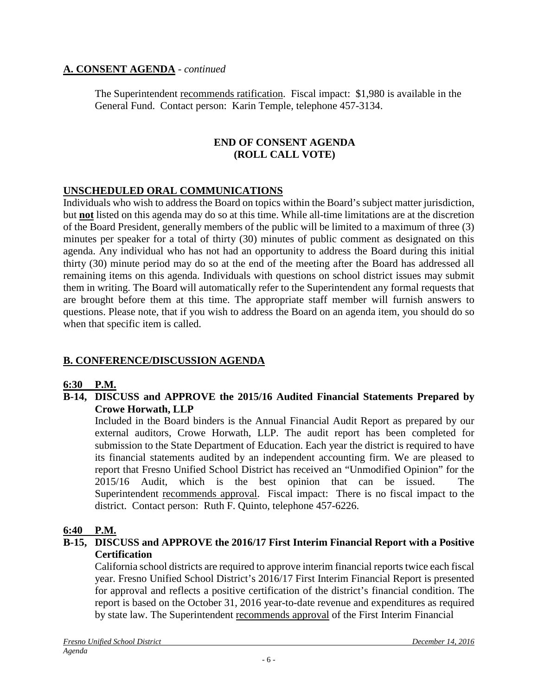### **A. CONSENT AGENDA** *- continued*

The Superintendent recommends ratification. Fiscal impact: \$1,980 is available in the General Fund. Contact person: Karin Temple, telephone 457-3134.

### **END OF CONSENT AGENDA (ROLL CALL VOTE)**

### **UNSCHEDULED ORAL COMMUNICATIONS**

Individuals who wish to address the Board on topics within the Board's subject matter jurisdiction, but **not** listed on this agenda may do so at this time. While all-time limitations are at the discretion of the Board President, generally members of the public will be limited to a maximum of three (3) minutes per speaker for a total of thirty (30) minutes of public comment as designated on this agenda. Any individual who has not had an opportunity to address the Board during this initial thirty (30) minute period may do so at the end of the meeting after the Board has addressed all remaining items on this agenda. Individuals with questions on school district issues may submit them in writing. The Board will automatically refer to the Superintendent any formal requests that are brought before them at this time. The appropriate staff member will furnish answers to questions. Please note, that if you wish to address the Board on an agenda item, you should do so when that specific item is called.

### **B. CONFERENCE/DISCUSSION AGENDA**

#### **6:30 P.M.**

#### **B-14, DISCUSS and APPROVE the 2015/16 Audited Financial Statements Prepared by Crowe Horwath, LLP**

Included in the Board binders is the Annual Financial Audit Report as prepared by our external auditors, Crowe Horwath, LLP. The audit report has been completed for submission to the State Department of Education. Each year the district is required to have its financial statements audited by an independent accounting firm. We are pleased to report that Fresno Unified School District has received an "Unmodified Opinion" for the 2015/16 Audit, which is the best opinion that can be issued. The Superintendent recommends approval. Fiscal impact: There is no fiscal impact to the district. Contact person: Ruth F. Quinto, telephone 457-6226.

#### **6:40 P.M.**

#### **B-15, DISCUSS and APPROVE the 2016/17 First Interim Financial Report with a Positive Certification**

California school districts are required to approve interim financial reports twice each fiscal year. Fresno Unified School District's 2016/17 First Interim Financial Report is presented for approval and reflects a positive certification of the district's financial condition. The report is based on the October 31, 2016 year-to-date revenue and expenditures as required by state law. The Superintendent recommends approval of the First Interim Financial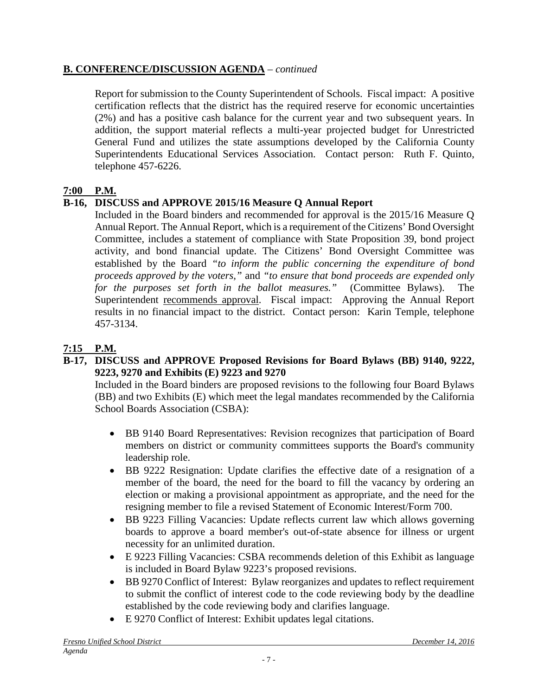### **B. CONFERENCE/DISCUSSION AGENDA** – *continued*

Report for submission to the County Superintendent of Schools. Fiscal impact: A positive certification reflects that the district has the required reserve for economic uncertainties (2%) and has a positive cash balance for the current year and two subsequent years. In addition, the support material reflects a multi-year projected budget for Unrestricted General Fund and utilizes the state assumptions developed by the California County Superintendents Educational Services Association. Contact person: Ruth F. Quinto, telephone 457-6226.

### **7:00 P.M.**

### **B-16, DISCUSS and APPROVE 2015/16 Measure Q Annual Report**

Included in the Board binders and recommended for approval is the 2015/16 Measure Q Annual Report. The Annual Report, which is a requirement of the Citizens' Bond Oversight Committee, includes a statement of compliance with State Proposition 39, bond project activity, and bond financial update. The Citizens' Bond Oversight Committee was established by the Board *"to inform the public concerning the expenditure of bond proceeds approved by the voters,"* and *"to ensure that bond proceeds are expended only for the purposes set forth in the ballot measures."* (Committee Bylaws). The Superintendent recommends approval. Fiscal impact: Approving the Annual Report results in no financial impact to the district. Contact person: Karin Temple, telephone 457-3134.

### **7:15 P.M.**

### **B-17, DISCUSS and APPROVE Proposed Revisions for Board Bylaws (BB) 9140, 9222, 9223, 9270 and Exhibits (E) 9223 and 9270**

Included in the Board binders are proposed revisions to the following four Board Bylaws (BB) and two Exhibits (E) which meet the legal mandates recommended by the California School Boards Association (CSBA):

- BB 9140 Board Representatives: Revision recognizes that participation of Board members on district or community committees supports the Board's community leadership role.
- BB 9222 Resignation: Update clarifies the effective date of a resignation of a member of the board, the need for the board to fill the vacancy by ordering an election or making a provisional appointment as appropriate, and the need for the resigning member to file a revised Statement of Economic Interest/Form 700.
- BB 9223 Filling Vacancies: Update reflects current law which allows governing boards to approve a board member's out-of-state absence for illness or urgent necessity for an unlimited duration.
- E 9223 Filling Vacancies: CSBA recommends deletion of this Exhibit as language is included in Board Bylaw 9223's proposed revisions.
- BB 9270 Conflict of Interest: Bylaw reorganizes and updates to reflect requirement to submit the conflict of interest code to the code reviewing body by the deadline established by the code reviewing body and clarifies language.
- E 9270 Conflict of Interest: Exhibit updates legal citations.